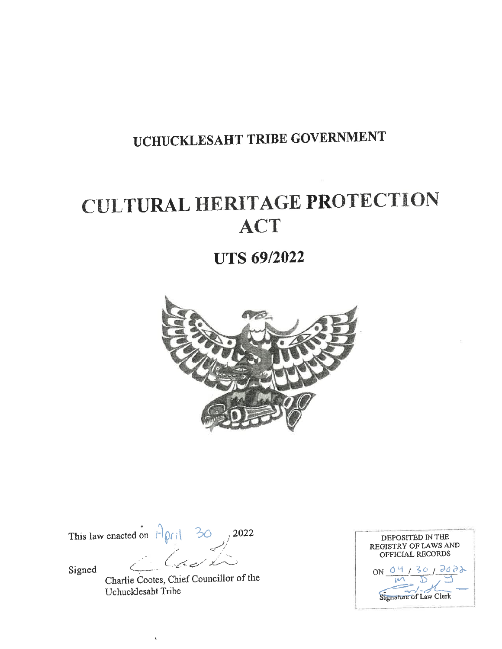## UCHUCKLESAHT TRIBE GOVERNMENT

# CULTURAL HERITAGE PROTECTION ACT

## UTS 69/2022



This law enacted on  $\bigcap_{\mathfrak{p} \in \mathfrak{q}}$  30 , 2022  $Signed$  ...

 $\hat{\mathbf{v}}$ 

Charlie Cootes, Chief Councillor of the Uchucklesaht Tribe

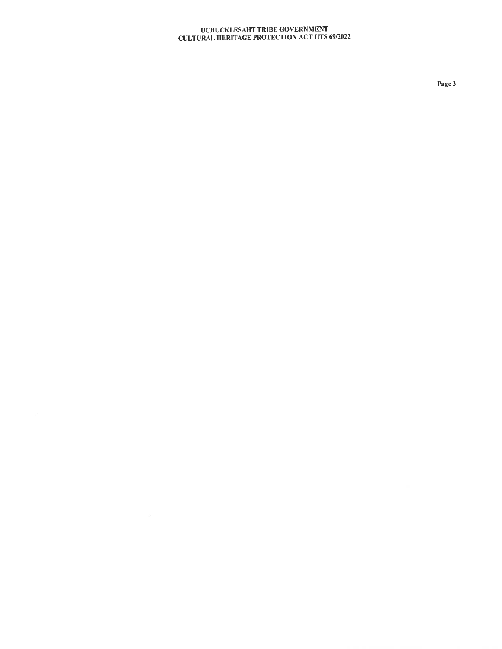$\sim 100$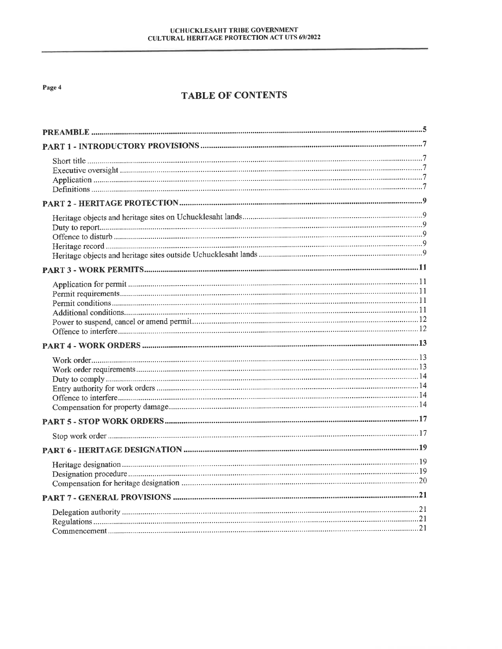## **TABLE OF CONTENTS**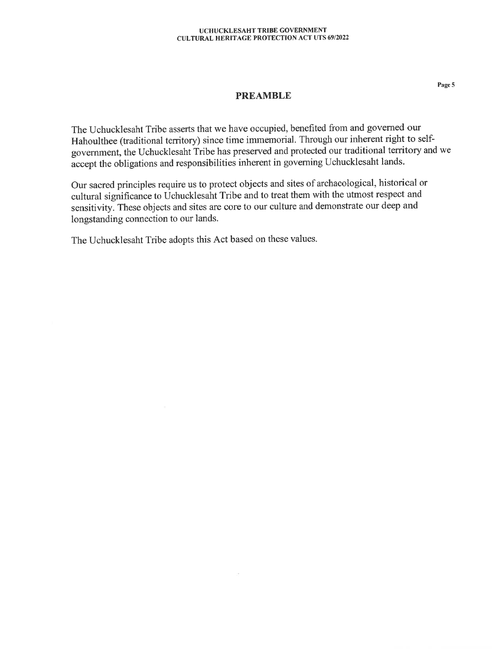#### PREAMBLE

The Uchucklesaht Tribe asserts that we have occupied, benefited from and governed our Hahoulthee (traditional territory) since time immemorial. Through our inherent right to selfgovernment, the Uchucklesaht Tribe has preserved and protected our traditional territory and we accept the obligations and responsibilities inherent in governing Uchucklesaht lands.

Our sacred principles require us to protect objects and sites of archaeological, historical or cultural significance to Uchucklesaht Tribe and to treat them with the utmost respect and sensitivity. These objects and sites are core to our culture and demonstrate our deep and longstanding connection to our lands.

The Uchucklesaht Tribe adopts this Act based on these values.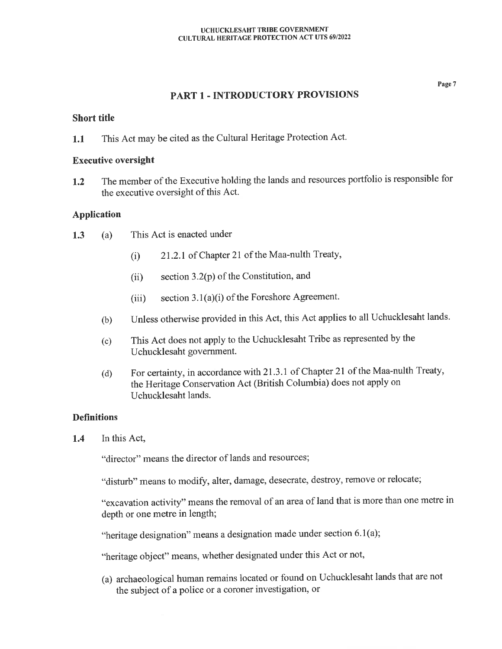## PART 1 - INTRODUCTORY PROVISIONS

#### Short title

1.1 This Act may be cited as the Cultural Heritage Protection Act.

#### Executive oversight

1.2 The member of the Executive holding the lands and resources portfolio is responsible for the executive oversight of this Act.

#### Application

- 1.3 (a) This Act is enacted under
	- (i) 21.2. 1 of Chapter 21 of the Maa-nulth Treaty,
	- (ii) section  $3.2(p)$  of the Constitution, and
	- (iii) section  $3.1(a)(i)$  of the Foreshore Agreement.
	- (b) Unless otherwise provided in this Act, this Act applies to all Uchucklesaht lands.
	- (c) This Act does not apply to the Uchucklesaht Tribe as represented by the Uchucklesaht government.
	- (d) For certainty, in accordance with 21.3.1 of Chapter 21 of the Maa-nulth Treaty, the Heritage Conservation Act (British Columbia) does not apply on Uchucklesaht lands.

#### Definitions

1.4 In this Act,

"director" means the director of lands and resources;

"disturb" means to modify, alter, damage, desecrate, destroy, remove or relocate;

"excavation activity" means the removal of an area of land that is more than one metre in depth or one metre in length;

"heritage designation" means a designation made under section 6.1(a);

"heritage object" means, whether designated under this Act or not,

(a) archaeological human remains located or found on Uchucklesaht lands that are not the subject of a police or a coroner investigation, or

Page?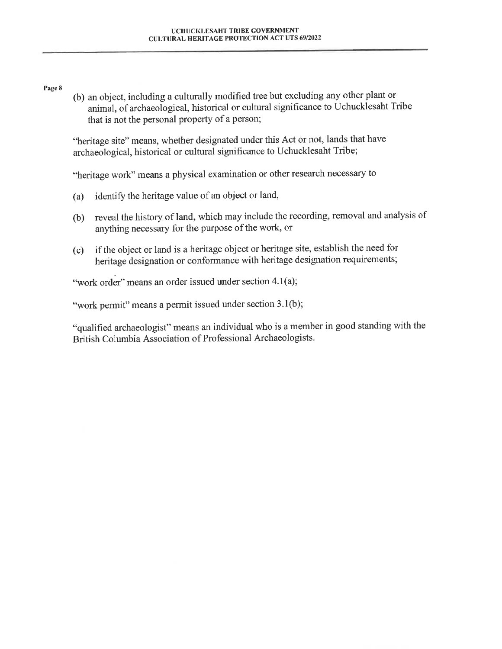(b) an object, including a culturally modified tree but excluding any other plant or animal, of archaeological, historical or cultural significance to Uchucklesaht Tribe that is not the personal property of a person;

"heritage site" means, whether designated under this Act or not, lands that have archaeological, historical or cultural significance to Uchucklesaht Tribe;

"heritage work" means a physical examination or other research necessary to

- (a) identify the heritage value of an object or land,
- (b) reveal the history of land, which may include the recording, removal and analysis of anything necessary for the purpose of the work, or
- (c) if the object or land is a heritage object or heritage site, establish the need for heritage designation or conformance with heritage designation requirements;

"work order" means an order issued under section 4.1(a);

"work permit" means a permit issued under section 3.1(b);

"qualified archaeologist" means an individual who is a member in good standing with the British Columbia Association of Professional Archaeologists.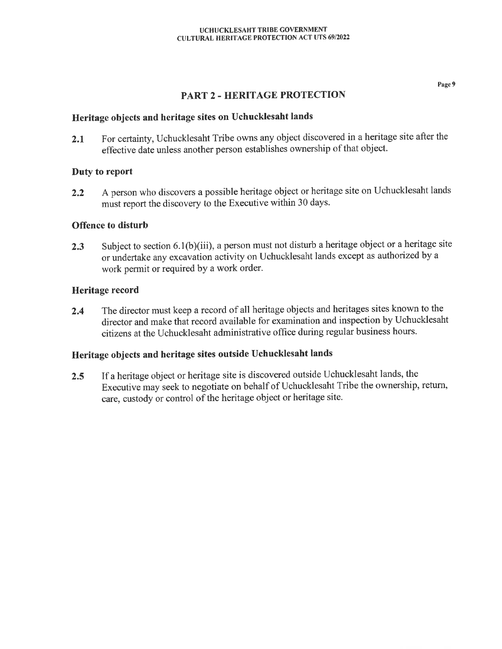## PART 2 - HERITAGE PROTECTION

## Heritage objects and heritage sites on Uchucklesaht lands

2.1 For certainty, Uchucklesaht Tribe owns any object discovered in a heritage site after the effective date unless another person establishes ownership of that object.

## Duty to report

2.2 A person who discovers a possible heritage object or heritage site on Uchucklesaht lands must report the discovery to the Executive within 30 days.

## Offence to disturb

2.3 Subject to section  $6.1(b)$ (iii), a person must not disturb a heritage object or a heritage site or undertake any excavation activity on Uchucklesaht lands except as authorized by a work permit or required by a work order.

## Heritage record

2.4 The director must keep a record of all heritage objects and heritages sites known to the director and make that record available for examination and inspection by Uchucklesaht citizens at the Uchucklesaht administrative office during regular business hours.

#### Heritage objects and heritage sites outside Uchucklesaht lands

2.5 If a heritage object or heritage site is discovered outside Uchucklesaht lands, the Executive may seek to negotiate on behalf of Uchucklesaht Tribe the ownership, return, care, custody or control of the heritage object or heritage site.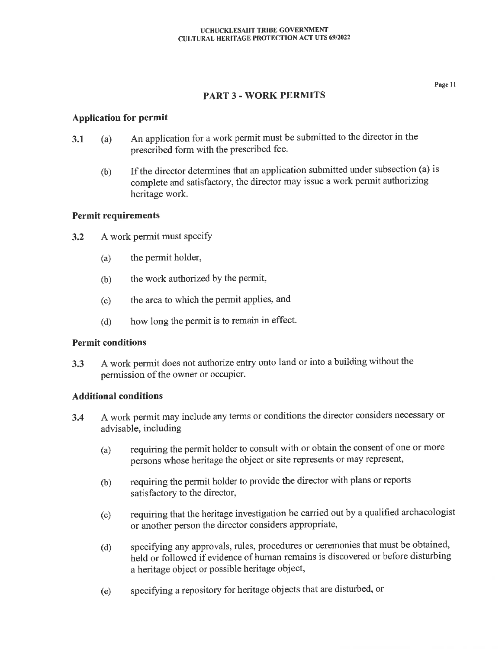## PART 3 - WORK PERMITS

### Application for permit

- 3.1 (a) An application for a work permit must be submitted to the director in the prescribed fonn with the prescribed fee.
	- (b) If the director determines that an application submitted under subsection (a) is complete and satisfactory, the director may issue a work permit authorizing heritage work.

#### Permit requirements

- 3.2 A work permit must specify
	- (a) the permit holder,
	- (b) the work authorized by the permit,
	- (c) the area to which the permit applies, and
	- (d) how long the permit is to remain in effect.

#### Permit conditions

3.3 A work permit does not authorize entry onto land or into a building without the permission of the owner or occupier.

#### Additional conditions

- 3.4 A work permit may include any terms or conditions the director considers necessary or advisable, including
	- (a) requiring the permit holder to consult with or obtain the consent of one or more persons whose heritage the object or site represents or may represent,
	- (b) requiring the permit holder to provide the director with plans or reports satisfactory to the director,
	- (c) requiring that the heritage investigation be carried out by a qualified archaeologist or another person the director considers appropriate,
	- (d) specifying any approvals, rules, procedures or ceremonies that must be obtained, held or followed if evidence of human remains is discovered or before disturbing a heritage object or possible heritage object,
	- (e) specifying a repository for heritage objects that are disturbed, or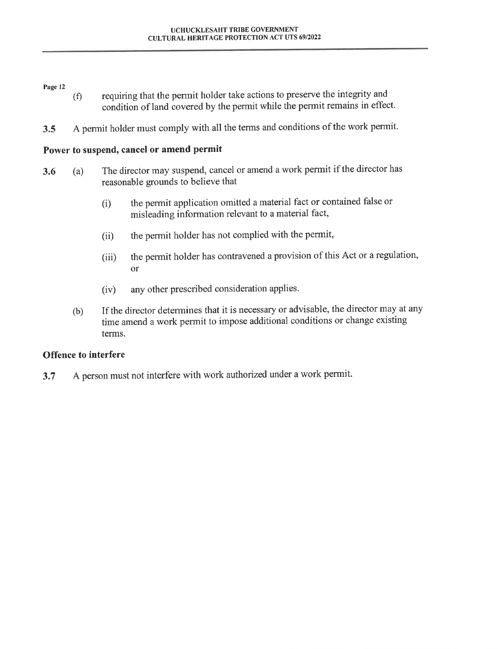- (f) requiring that the permit holder take actions to preserve the integrity and condition of land covered by the permit while the permit remains in effect.
- 3.5 A permit holder must comply with all the terms and conditions of the work permit.

### Power to suspend, cancel or amend permit

- 3.6 (a) The director may suspend, cancel or amend a work permit if the director has reasonable grounds to believe that
	- (i) the permit application omitted a material fact or contained false or misleading information relevant to a material fact,
	- (ii) the permit holder has not complied with the permit,
	- (iii) the permit holder has contravened a provision of this Act or a regulation, or
	- (iv) any other prescribed consideration applies.
	- (b) If the director determines that it is necessary or advisable, the director may at any time amend a work permit to impose additional conditions or change existing terms.

## Offence to interfere

3.7 A person must not interfere with work authorized under a work permit.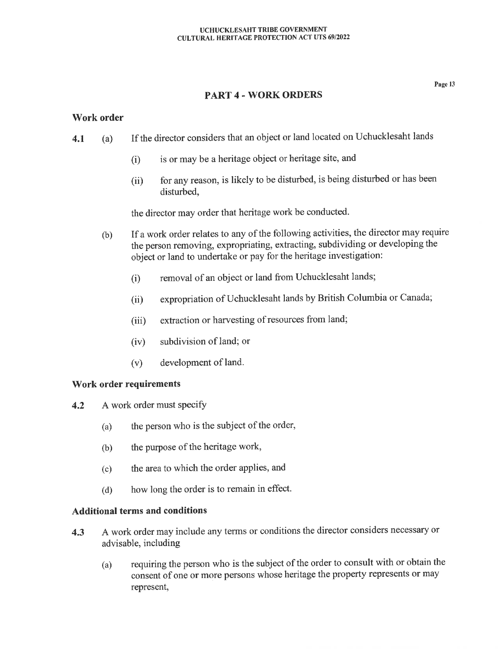## PART 4 - WORK ORDERS

#### Work order

- 4.1 (a) If the director considers that an object or land located on Uchucklesaht lands
	- (i) is or may be a heritage object or heritage site, and
	- (ii) for any reason, is likely to be disturbed, is being disturbed or has been disturbed,

the director may order that heritage work be conducted.

- (b) If a work order relates to any of the following activities, the director may require the person removing, expropriating, extracting, subdividing or developing the object or land to undertake or pay for the heritage investigation:
	- (i) removal of an object or land from Uchucklesaht lands;
	- (ii) expropriation of Uchucklesaht lands by British Columbia or Canada;
	- (iii) extraction or harvesting of resources from land;
	- (iv) subdivision of land; or
	- (v) development of land.

#### Work order requirements

- 4.2 A work order must specify
	- (a) the person who is the subject of the order,
	- (b) the purpose of the heritage work,
	- the area to which the order applies, and (c)
	- how long the order is to remain in effect. (d)

#### Additional terms and conditions

- 4.3 A work order may include any terms or conditions the director considers necessary or advisable, including
	- (a) requiring the person who is the subject of the order to consult with or obtain the consent of one or more persons whose heritage the property represents or may represent,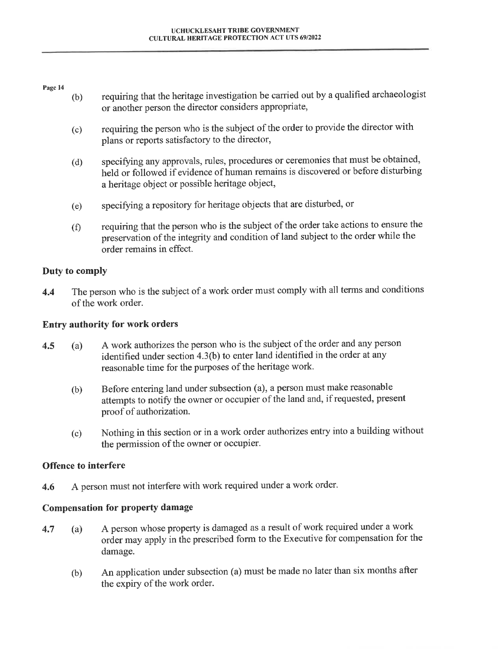#### page I4

- (b) requiring that the heritage investigation be carried out by a qualified archaeologist or another person the director considers appropriate,
- (c) requiring the person who is the subject of the order to provide the director with plans or reports satisfactory to the director,
- (d) specifying any approvals, rules, procedures or ceremonies that must be obtained, held or followed if evidence of human remains is discovered or before disturbing a heritage object or possible heritage object,
- (e) specifying a repository for heritage objects that are disturbed, or
- (f) requiring that the person who is the subject of the order take actions to ensure the preservation of the integrity and condition of land subject to the order while the order remains in effect.

#### Duty to comply

4.4 The person who is the subject of a work order must comply with all terms and conditions of the work order.

#### Entry authority for work orders

- 4.5 (a) A work authorizes the person who is the subject of the order and any person identified under section 4.3(b) to enter land identified in the order at any reasonable time for the purposes of the heritage work.
	- (b) Before entering land under subsection (a), a person must make reasonable attempts to notify the owner or occupier of the land and, if requested, present proof of authorization.
	- (c) Nothing in this section or in a work order authorizes entry into a building without the permission of the owner or occupier.

#### Offence to interfere

4.6 A person must not interfere with work required under a work order.

#### Compensation for property damage

- 4.7 (a) A person whose property is damaged as a result of work required under a work order may apply in the prescribed fonn to the Executive for compensation for the damage.
	- (b) An application under subsection (a) must be made no later than six months after the expiry of the work order.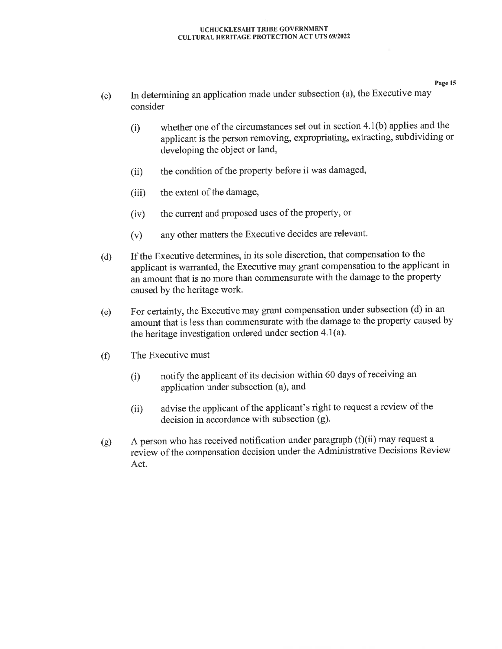- (c) In determining an application made under subsection (a), the Executive may consider
	- (i) whether one of the circumstances set out in section 4. 1 (b) applies and the applicant is the person removing, expropriating, extracting, subdividing or developing the object or land,
	- (ii) the condition of the property before it was damaged,
	- (iii) the extent of the damage,
	- (iv) the current and proposed uses of the property, or
	- (v) any other matters the Executive decides are relevant.
- (d) If the Executive determines, in its sole discretion, that compensation to the applicant is warranted, the Executive may grant compensation to the applicant in an amount that is no more than commensurate with the damage to the property caused by the heritage work.
- (e) For certainty, the Executive may grant compensation under subsection (d) in an amount that is less than commensurate with the damage to the property caused by the heritage investigation ordered under section 4.1(a).
- (f) The Executive must
	- (i) notify the applicant of its decision within 60 days of receiving an application under subsection (a), and
	- (ii) advise the applicant of the applicant's right to request a review of the decision in accordance with subsection (g).
- (g) A person who has received notification under paragraph (f)(ii) may request a review of the compensation decision under the Administrative Decisions Review Act.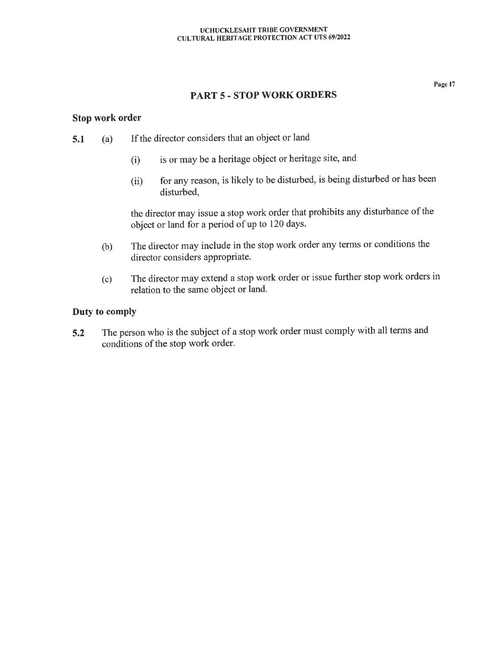Page 17

## PART 5 - STOP WORK ORDERS

#### Stop work order

- 5.1 (a) If the director considers that an object or land
	- (i) is or may be a heritage object or heritage site, and
	- (ii) for any reason, is likely to be disturbed, is being disturbed or has been disturbed,

the director may issue a stop work order that prohibits any disturbance of the object or land for a period of up to 120 days.

- (b) The director may include in the stop work order any terms or conditions the director considers appropriate.
- (c) The director may extend a stop work order or issue further stop work orders in relation to the same object or land.

#### Duty to comply

5.2 The person who is the subject of a stop work order must comply with all terms and conditions of the stop work order.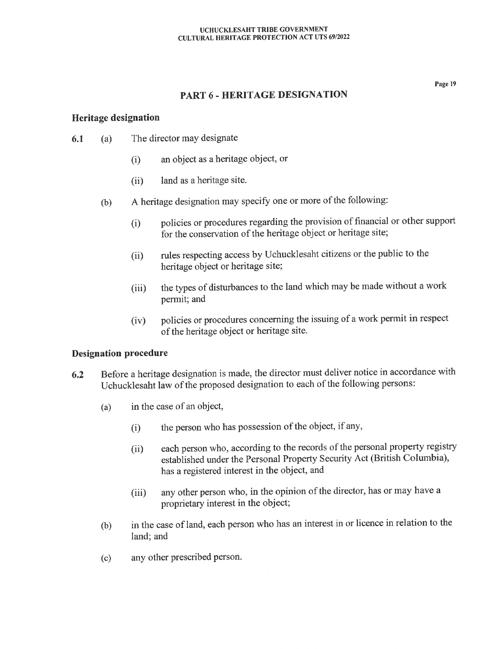#### Page 19

### PART 6 - HERITAGE DESIGNATION

#### Heritage designation

6.1 (a) The director may designate

- (i) an object as a heritage object, or
- (ii) land as a heritage site.
- (b) A heritage designation may specify one or more of the following:
	- (i) policies or procedures regarding the provision of financial or other support for the conservation of the heritage object or heritage site;
	- (ii) rules respecting access by Uchucklesaht citizens or the public to the heritage object or heritage site;
	- (iii) the types of disturbances to the land which may be made without a work permit; and
	- (iv) policies or procedures concerning the issuing of a work permit in respect of the heritage object or heritage site.

#### Designation procedure

- 6.2 Before a heritage designation is made, the director must deliver notice in accordance with Uchucklesaht law of the proposed designation to each of the following persons:
	- (a) in the case of an object,
		- (i) the person who has possession of the object, if any,
		- (ii) each person who, according to the records of the personal property registry established under the Personal Property Security Act (British Columbia), has a registered interest in the object, and
		- (iii) any other person who, in the opinion of the director, has or may have a proprietary interest in the object;
	- (b) in the case of land, each person who has an interest in or licence in relation to the land; and
	- (c) any other prescribed person.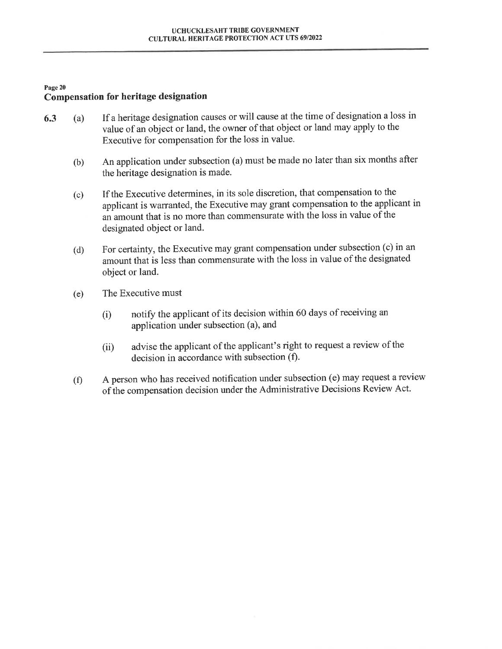#### Page 20 Compensation for heritage designation

- 6.3 (a) If a heritage designation causes or will cause at the time of designation a loss in value of an object or land, the owner of that object or land may apply to the Executive for compensation for the loss in value.
	- (b) An application under subsection (a) must be made no later than six months after the heritage designation is made.
	- (c) If the Executive determines, in its sole discretion, that compensation to the applicant is warranted, the Executive may grant compensation to the applicant in an amount that is no more than commensurate with the loss in value of the designated object or land.
	- (d) For certainty, the Executive may grant compensation under subsection (c) in an amount that is less than commensurate with the loss in value of the designated object or land.
	- (e) The Executive must
		- (i) notify the applicant of its decision within 60 days of receiving an application under subsection (a), and
		- (ii) advise the applicant of the applicant's right to request a review of the decision in accordance with subsection (f).
	- (f) A person who has received notification under subsection (e) may request a review of the compensation decision under the Administrative Decisions Review Act.